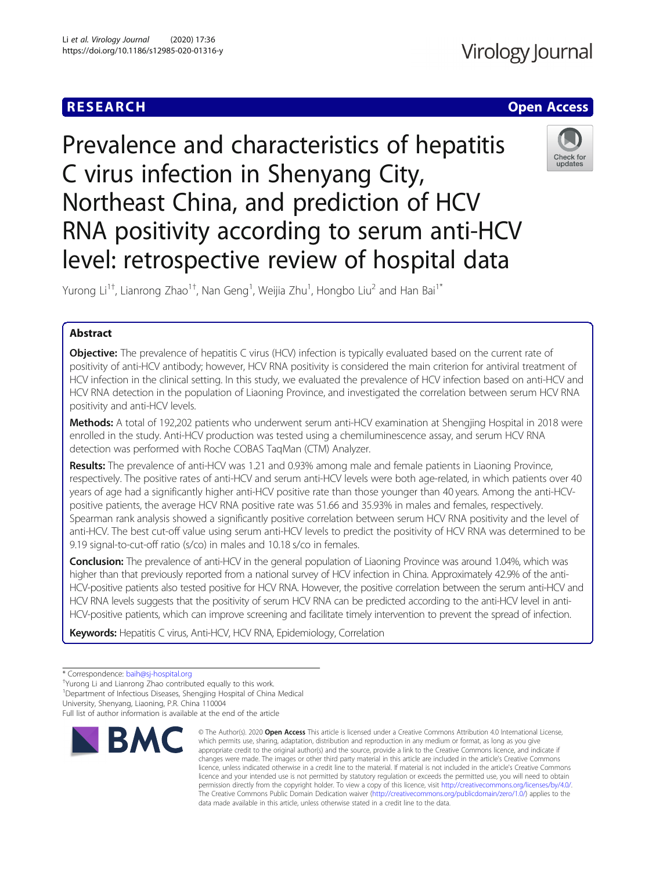

# Prevalence and characteristics of hepatitis C virus infection in Shenyang City, Northeast China, and prediction of HCV RNA positivity according to serum anti-HCV level: retrospective review of hospital data



Yurong Li<sup>1†</sup>, Lianrong Zhao<sup>1†</sup>, Nan Geng<sup>1</sup>, Weijia Zhu<sup>1</sup>, Hongbo Liu<sup>2</sup> and Han Bai<sup>1\*</sup>

### Abstract

**Objective:** The prevalence of hepatitis C virus (HCV) infection is typically evaluated based on the current rate of positivity of anti-HCV antibody; however, HCV RNA positivity is considered the main criterion for antiviral treatment of HCV infection in the clinical setting. In this study, we evaluated the prevalence of HCV infection based on anti-HCV and HCV RNA detection in the population of Liaoning Province, and investigated the correlation between serum HCV RNA positivity and anti-HCV levels.

Methods: A total of 192,202 patients who underwent serum anti-HCV examination at Shengjing Hospital in 2018 were enrolled in the study. Anti-HCV production was tested using a chemiluminescence assay, and serum HCV RNA detection was performed with Roche COBAS TaqMan (CTM) Analyzer.

Results: The prevalence of anti-HCV was 1.21 and 0.93% among male and female patients in Liaoning Province, respectively. The positive rates of anti-HCV and serum anti-HCV levels were both age-related, in which patients over 40 years of age had a significantly higher anti-HCV positive rate than those younger than 40 years. Among the anti-HCVpositive patients, the average HCV RNA positive rate was 51.66 and 35.93% in males and females, respectively. Spearman rank analysis showed a significantly positive correlation between serum HCV RNA positivity and the level of anti-HCV. The best cut-off value using serum anti-HCV levels to predict the positivity of HCV RNA was determined to be 9.19 signal-to-cut-off ratio (s/co) in males and 10.18 s/co in females.

Conclusion: The prevalence of anti-HCV in the general population of Liaoning Province was around 1.04%, which was higher than that previously reported from a national survey of HCV infection in China. Approximately 42.9% of the anti-HCV-positive patients also tested positive for HCV RNA. However, the positive correlation between the serum anti-HCV and HCV RNA levels suggests that the positivity of serum HCV RNA can be predicted according to the anti-HCV level in anti-HCV-positive patients, which can improve screening and facilitate timely intervention to prevent the spread of infection.

Keywords: Hepatitis C virus, Anti-HCV, HCV RNA, Epidemiology, Correlation

Full list of author information is available at the end of the article



<sup>©</sup> The Author(s), 2020 **Open Access** This article is licensed under a Creative Commons Attribution 4.0 International License, which permits use, sharing, adaptation, distribution and reproduction in any medium or format, as long as you give appropriate credit to the original author(s) and the source, provide a link to the Creative Commons licence, and indicate if changes were made. The images or other third party material in this article are included in the article's Creative Commons licence, unless indicated otherwise in a credit line to the material. If material is not included in the article's Creative Commons licence and your intended use is not permitted by statutory regulation or exceeds the permitted use, you will need to obtain permission directly from the copyright holder. To view a copy of this licence, visit [http://creativecommons.org/licenses/by/4.0/.](http://creativecommons.org/licenses/by/4.0/) The Creative Commons Public Domain Dedication waiver [\(http://creativecommons.org/publicdomain/zero/1.0/](http://creativecommons.org/publicdomain/zero/1.0/)) applies to the data made available in this article, unless otherwise stated in a credit line to the data.

<sup>\*</sup> Correspondence: [baih@sj-hospital.org](mailto:baih@sj-hospital.org) †

Yurong Li and Lianrong Zhao contributed equally to this work.

<sup>&</sup>lt;sup>1</sup>Department of Infectious Diseases, Shengjing Hospital of China Medical

University, Shenyang, Liaoning, P.R. China 110004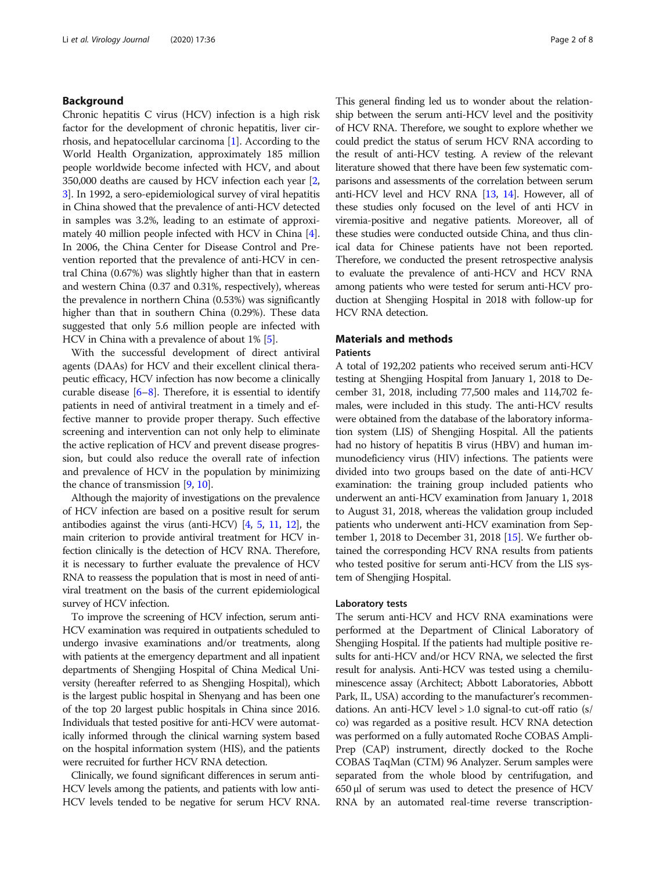#### Background

Chronic hepatitis C virus (HCV) infection is a high risk factor for the development of chronic hepatitis, liver cirrhosis, and hepatocellular carcinoma [[1](#page-6-0)]. According to the World Health Organization, approximately 185 million people worldwide become infected with HCV, and about 350,000 deaths are caused by HCV infection each year [[2](#page-6-0), [3\]](#page-6-0). In 1992, a sero-epidemiological survey of viral hepatitis in China showed that the prevalence of anti-HCV detected in samples was 3.2%, leading to an estimate of approximately 40 million people infected with HCV in China [[4](#page-6-0)]. In 2006, the China Center for Disease Control and Prevention reported that the prevalence of anti-HCV in central China (0.67%) was slightly higher than that in eastern and western China (0.37 and 0.31%, respectively), whereas the prevalence in northern China (0.53%) was significantly higher than that in southern China (0.29%). These data suggested that only 5.6 million people are infected with HCV in China with a prevalence of about 1% [\[5](#page-6-0)].

With the successful development of direct antiviral agents (DAAs) for HCV and their excellent clinical therapeutic efficacy, HCV infection has now become a clinically curable disease  $[6-8]$  $[6-8]$  $[6-8]$  $[6-8]$  $[6-8]$ . Therefore, it is essential to identify patients in need of antiviral treatment in a timely and effective manner to provide proper therapy. Such effective screening and intervention can not only help to eliminate the active replication of HCV and prevent disease progression, but could also reduce the overall rate of infection and prevalence of HCV in the population by minimizing the chance of transmission [\[9](#page-6-0), [10](#page-6-0)].

Although the majority of investigations on the prevalence of HCV infection are based on a positive result for serum antibodies against the virus (anti-HCV) [[4](#page-6-0), [5](#page-6-0), [11,](#page-6-0) [12](#page-6-0)], the main criterion to provide antiviral treatment for HCV infection clinically is the detection of HCV RNA. Therefore, it is necessary to further evaluate the prevalence of HCV RNA to reassess the population that is most in need of antiviral treatment on the basis of the current epidemiological survey of HCV infection.

To improve the screening of HCV infection, serum anti-HCV examination was required in outpatients scheduled to undergo invasive examinations and/or treatments, along with patients at the emergency department and all inpatient departments of Shengjing Hospital of China Medical University (hereafter referred to as Shengjing Hospital), which is the largest public hospital in Shenyang and has been one of the top 20 largest public hospitals in China since 2016. Individuals that tested positive for anti-HCV were automatically informed through the clinical warning system based on the hospital information system (HIS), and the patients were recruited for further HCV RNA detection.

Clinically, we found significant differences in serum anti-HCV levels among the patients, and patients with low anti-HCV levels tended to be negative for serum HCV RNA. This general finding led us to wonder about the relationship between the serum anti-HCV level and the positivity of HCV RNA. Therefore, we sought to explore whether we could predict the status of serum HCV RNA according to the result of anti-HCV testing. A review of the relevant literature showed that there have been few systematic comparisons and assessments of the correlation between serum anti-HCV level and HCV RNA [\[13](#page-6-0), [14](#page-6-0)]. However, all of these studies only focused on the level of anti HCV in viremia-positive and negative patients. Moreover, all of these studies were conducted outside China, and thus clinical data for Chinese patients have not been reported. Therefore, we conducted the present retrospective analysis to evaluate the prevalence of anti-HCV and HCV RNA among patients who were tested for serum anti-HCV production at Shengjing Hospital in 2018 with follow-up for HCV RNA detection.

#### Materials and methods

#### **Patients**

A total of 192,202 patients who received serum anti-HCV testing at Shengjing Hospital from January 1, 2018 to December 31, 2018, including 77,500 males and 114,702 females, were included in this study. The anti-HCV results were obtained from the database of the laboratory information system (LIS) of Shengjing Hospital. All the patients had no history of hepatitis B virus (HBV) and human immunodeficiency virus (HIV) infections. The patients were divided into two groups based on the date of anti-HCV examination: the training group included patients who underwent an anti-HCV examination from January 1, 2018 to August 31, 2018, whereas the validation group included patients who underwent anti-HCV examination from September 1, 2018 to December 31, 2018 [[15](#page-6-0)]. We further obtained the corresponding HCV RNA results from patients who tested positive for serum anti-HCV from the LIS system of Shengjing Hospital.

#### Laboratory tests

The serum anti-HCV and HCV RNA examinations were performed at the Department of Clinical Laboratory of Shengjing Hospital. If the patients had multiple positive results for anti-HCV and/or HCV RNA, we selected the first result for analysis. Anti-HCV was tested using a chemiluminescence assay (Architect; Abbott Laboratories, Abbott Park, IL, USA) according to the manufacturer's recommendations. An anti-HCV level  $> 1.0$  signal-to cut-off ratio (s/ co) was regarded as a positive result. HCV RNA detection was performed on a fully automated Roche COBAS Ampli-Prep (CAP) instrument, directly docked to the Roche COBAS TaqMan (CTM) 96 Analyzer. Serum samples were separated from the whole blood by centrifugation, and 650 μl of serum was used to detect the presence of HCV RNA by an automated real-time reverse transcription-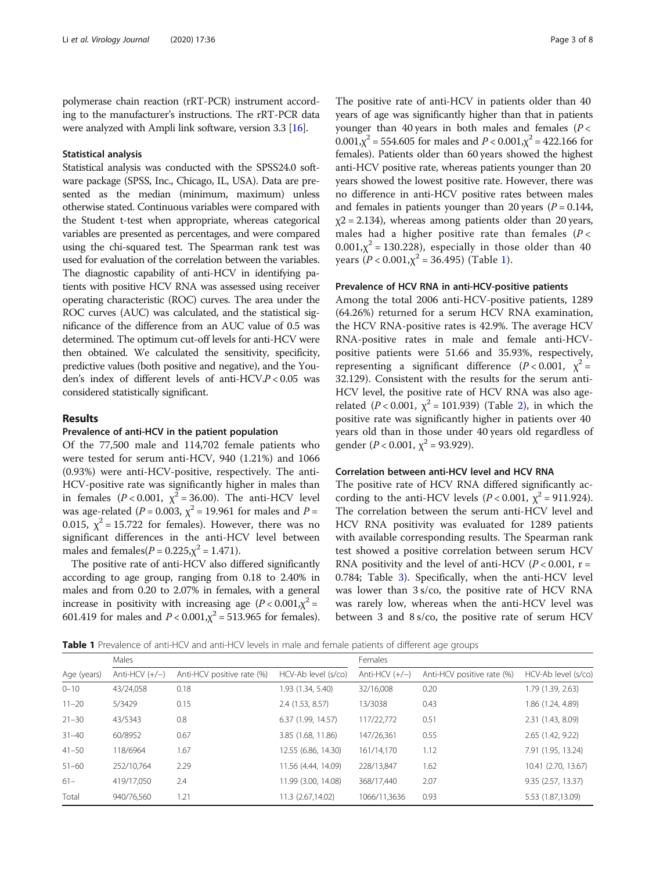polymerase chain reaction (rRT-PCR) instrument according to the manufacturer's instructions. The rRT-PCR data were analyzed with Ampli link software, version 3.3 [\[16\]](#page-6-0).

#### Statistical analysis

Statistical analysis was conducted with the SPSS24.0 software package (SPSS, Inc., Chicago, IL, USA). Data are presented as the median (minimum, maximum) unless otherwise stated. Continuous variables were compared with the Student t-test when appropriate, whereas categorical variables are presented as percentages, and were compared using the chi-squared test. The Spearman rank test was used for evaluation of the correlation between the variables. The diagnostic capability of anti-HCV in identifying patients with positive HCV RNA was assessed using receiver operating characteristic (ROC) curves. The area under the ROC curves (AUC) was calculated, and the statistical significance of the difference from an AUC value of 0.5 was determined. The optimum cut-off levels for anti-HCV were then obtained. We calculated the sensitivity, specificity, predictive values (both positive and negative), and the Youden's index of different levels of anti-HCV.P < 0.05 was considered statistically significant.

#### Results

#### Prevalence of anti-HCV in the patient population

Of the 77,500 male and 114,702 female patients who were tested for serum anti-HCV, 940 (1.21%) and 1066 (0.93%) were anti-HCV-positive, respectively. The anti-HCV-positive rate was significantly higher in males than in females ( $P < 0.001$ ,  $\chi^2 = 36.00$ ). The anti-HCV level was age-related ( $P = 0.003$ ,  $\chi^2 = 19.961$  for males and  $P =$ 0.015,  $\chi^2$  = 15.722 for females). However, there was no significant differences in the anti-HCV level between males and females( $P = 0.225$ , $\chi^2 = 1.471$ ).

The positive rate of anti-HCV also differed significantly according to age group, ranging from 0.18 to 2.40% in males and from 0.20 to 2.07% in females, with a general increase in positivity with increasing age  $(P < 0.001<sub>x</sub>^{2} =$ 601.419 for males and  $P < 0.001<sub>1</sub> \chi^2 = 513.965$  for females). The positive rate of anti-HCV in patients older than 40 years of age was significantly higher than that in patients younger than 40 years in both males and females ( $P <$  $0.001<sub>1</sub>$ <sup>2</sup> = 554.605 for males and  $P < 0.001<sub>1</sub>$ <sup>2</sup> = 422.166 for females). Patients older than 60 years showed the highest anti-HCV positive rate, whereas patients younger than 20 years showed the lowest positive rate. However, there was no difference in anti-HCV positive rates between males and females in patients younger than 20 years ( $P = 0.144$ ,  $x^2 = 2.134$ , whereas among patients older than 20 years, males had a higher positive rate than females ( $P <$  $0.001<sub>1</sub>$ <sup>2</sup> = 130.228), especially in those older than 40 years ( $P < 0.001$ , $\chi^2 = 36.495$ ) (Table 1).

#### Prevalence of HCV RNA in anti-HCV-positive patients

Among the total 2006 anti-HCV-positive patients, 1289 (64.26%) returned for a serum HCV RNA examination, the HCV RNA-positive rates is 42.9%. The average HCV RNA-positive rates in male and female anti-HCVpositive patients were 51.66 and 35.93%, respectively, representing a significant difference ( $P < 0.001$ ,  $\chi^2 =$ 32.129). Consistent with the results for the serum anti-HCV level, the positive rate of HCV RNA was also agerelated ( $P < 0.001$ ,  $\chi^2 = 101.939$  $\chi^2 = 101.939$  $\chi^2 = 101.939$ ) (Table 2), in which the positive rate was significantly higher in patients over 40 years old than in those under 40 years old regardless of gender ( $P < 0.001$ ,  $\chi^2 = 93.929$ ).

#### Correlation between anti-HCV level and HCV RNA

The positive rate of HCV RNA differed significantly according to the anti-HCV levels ( $P < 0.001$ ,  $\chi^2 = 911.924$ ). The correlation between the serum anti-HCV level and HCV RNA positivity was evaluated for 1289 patients with available corresponding results. The Spearman rank test showed a positive correlation between serum HCV RNA positivity and the level of anti-HCV ( $P < 0.001$ , r = 0.784; Table [3\)](#page-3-0). Specifically, when the anti-HCV level was lower than 3 s/co, the positive rate of HCV RNA was rarely low, whereas when the anti-HCV level was between 3 and 8 s/co, the positive rate of serum HCV

Table 1 Prevalence of anti-HCV and anti-HCV levels in male and female patients of different age groups

|             | Males            |                            |                     | Females          |                            |                     |
|-------------|------------------|----------------------------|---------------------|------------------|----------------------------|---------------------|
| Age (years) | Anti-HCV $(+/-)$ | Anti-HCV positive rate (%) | HCV-Ab level (s/co) | Anti-HCV $(+/-)$ | Anti-HCV positive rate (%) | HCV-Ab level (s/co) |
| $0 - 10$    | 43/24,058        | 0.18                       | 1.93 (1.34, 5.40)   | 32/16,008        | 0.20                       | 1.79 (1.39, 2.63)   |
| $11 - 20$   | 5/3429           | 0.15                       | 2.4 (1.53, 8.57)    | 13/3038          | 0.43                       | 1.86 (1.24, 4.89)   |
| $21 - 30$   | 43/5343          | 0.8                        | 6.37(1.99.14.57)    | 117/22,772       | 0.51                       | 2.31 (1.43, 8.09)   |
| $31 - 40$   | 60/8952          | 0.67                       | 3.85 (1.68, 11.86)  | 147/26,361       | 0.55                       | 2.65 (1.42, 9.22)   |
| $41 - 50$   | 118/6964         | 1.67                       | 12.55 (6.86, 14.30) | 161/14,170       | 1.12                       | 7.91 (1.95, 13.24)  |
| $51 - 60$   | 252/10.764       | 2.29                       | 11.56 (4.44, 14.09) | 228/13,847       | 1.62                       | 10.41 (2.70, 13.67) |
| $61 -$      | 419/17.050       | 2.4                        | 11.99 (3.00, 14.08) | 368/17.440       | 2.07                       | 9.35 (2.57, 13.37)  |
| Total       | 940/76,560       | 1.21                       | 11.3 (2.67,14.02)   | 1066/11,3636     | 0.93                       | 5.53 (1.87,13.09)   |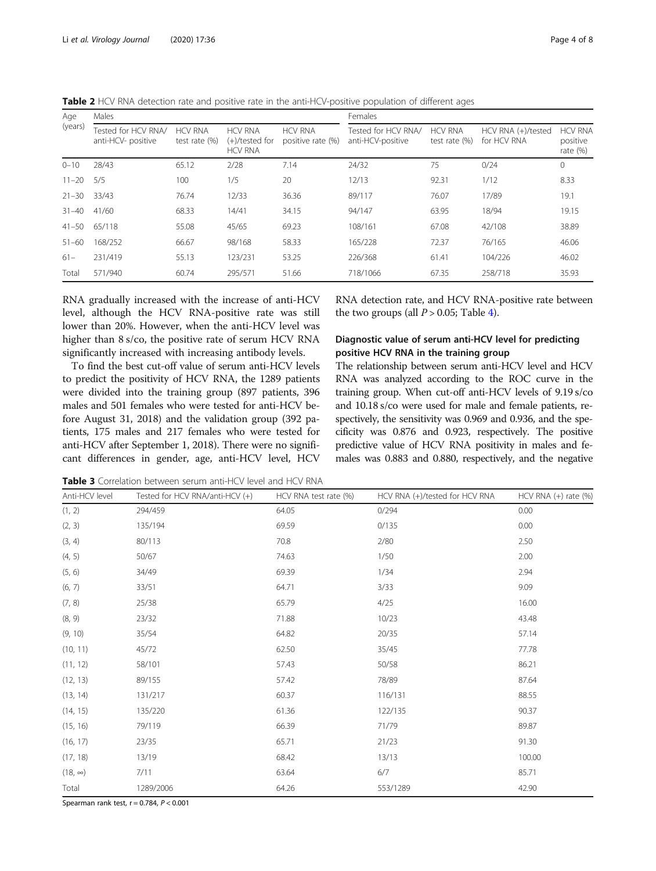<span id="page-3-0"></span>Table 2 HCV RNA detection rate and positive rate in the anti-HCV-positive population of different ages

| Age<br>(years) | Males                                     |                                 |                                                       |                                     | Females                                  |                                 |                                   |                                           |
|----------------|-------------------------------------------|---------------------------------|-------------------------------------------------------|-------------------------------------|------------------------------------------|---------------------------------|-----------------------------------|-------------------------------------------|
|                | Tested for HCV RNA/<br>anti-HCV- positive | <b>HCV RNA</b><br>test rate (%) | <b>HCV RNA</b><br>$(+)/$ tested for<br><b>HCV RNA</b> | <b>HCV RNA</b><br>positive rate (%) | Tested for HCV RNA/<br>anti-HCV-positive | <b>HCV RNA</b><br>test rate (%) | HCV RNA (+)/tested<br>for HCV RNA | <b>HCV RNA</b><br>positive<br>rate $(\%)$ |
| $0 - 10$       | 28/43                                     | 65.12                           | 2/28                                                  | 7.14                                | 24/32                                    | 75                              | 0/24                              | $\mathbf 0$                               |
| $11 - 20$      | 5/5                                       | 100                             | 1/5                                                   | 20                                  | 12/13                                    | 92.31                           | 1/12                              | 8.33                                      |
| $21 - 30$      | 33/43                                     | 76.74                           | 12/33                                                 | 36.36                               | 89/117                                   | 76.07                           | 17/89                             | 19.1                                      |
| $31 - 40$      | 41/60                                     | 68.33                           | 14/41                                                 | 34.15                               | 94/147                                   | 63.95                           | 18/94                             | 19.15                                     |
| $41 - 50$      | 65/118                                    | 55.08                           | 45/65                                                 | 69.23                               | 108/161                                  | 67.08                           | 42/108                            | 38.89                                     |
| $51 - 60$      | 168/252                                   | 66.67                           | 98/168                                                | 58.33                               | 165/228                                  | 72.37                           | 76/165                            | 46.06                                     |
| $61 -$         | 231/419                                   | 55.13                           | 123/231                                               | 53.25                               | 226/368                                  | 61.41                           | 104/226                           | 46.02                                     |
| Total          | 571/940                                   | 60.74                           | 295/571                                               | 51.66                               | 718/1066                                 | 67.35                           | 258/718                           | 35.93                                     |

RNA gradually increased with the increase of anti-HCV level, although the HCV RNA-positive rate was still lower than 20%. However, when the anti-HCV level was higher than 8 s/co, the positive rate of serum HCV RNA significantly increased with increasing antibody levels.

To find the best cut-off value of serum anti-HCV levels to predict the positivity of HCV RNA, the 1289 patients were divided into the training group (897 patients, 396 males and 501 females who were tested for anti-HCV before August 31, 2018) and the validation group (392 patients, 175 males and 217 females who were tested for anti-HCV after September 1, 2018). There were no significant differences in gender, age, anti-HCV level, HCV

RNA detection rate, and HCV RNA-positive rate between the two groups (all  $P > 0.05$ ; Table [4](#page-4-0)).

#### Diagnostic value of serum anti-HCV level for predicting positive HCV RNA in the training group

The relationship between serum anti-HCV level and HCV RNA was analyzed according to the ROC curve in the training group. When cut-off anti-HCV levels of 9.19 s/co and 10.18 s/co were used for male and female patients, respectively, the sensitivity was 0.969 and 0.936, and the specificity was 0.876 and 0.923, respectively. The positive predictive value of HCV RNA positivity in males and females was 0.883 and 0.880, respectively, and the negative

Table 3 Correlation between serum anti-HCV level and HCV RNA

| Anti-HCV level | Tested for HCV RNA/anti-HCV (+) | HCV RNA test rate (%) | HCV RNA (+)/tested for HCV RNA | HCV RNA $(+)$ rate $(\%)$ |  |
|----------------|---------------------------------|-----------------------|--------------------------------|---------------------------|--|
| (1, 2)         | 294/459                         | 64.05                 | 0/294                          | 0.00                      |  |
| (2, 3)         | 135/194                         | 69.59                 | 0/135                          | 0.00                      |  |
| (3, 4)         | 80/113                          | 70.8                  | 2/80                           | 2.50                      |  |
| (4, 5)         | 50/67                           | 74.63                 | 1/50                           | 2.00                      |  |
| (5, 6)         | 34/49                           | 69.39                 | 1/34                           | 2.94                      |  |
| (6, 7)         | 33/51                           | 64.71                 | 3/33                           | 9.09                      |  |
| (7, 8)         | 25/38                           | 65.79                 | 4/25                           | 16.00                     |  |
| (8, 9)         | 23/32                           | 71.88                 | 10/23                          | 43.48                     |  |
| (9, 10)        | 35/54                           | 64.82                 | 20/35                          | 57.14                     |  |
| (10, 11)       | 45/72                           | 62.50                 | 35/45                          | 77.78                     |  |
| (11, 12)       | 58/101                          | 57.43                 | 50/58                          | 86.21                     |  |
| (12, 13)       | 89/155                          | 57.42                 | 78/89                          | 87.64                     |  |
| (13, 14)       | 131/217                         | 60.37                 | 116/131                        | 88.55                     |  |
| (14, 15)       | 135/220                         | 61.36                 | 122/135                        | 90.37                     |  |
| (15, 16)       | 79/119                          | 66.39                 | 71/79                          | 89.87                     |  |
| (16, 17)       | 23/35                           | 65.71                 | 21/23                          | 91.30                     |  |
| (17, 18)       | 13/19                           | 68.42                 | 13/13                          | 100.00                    |  |
| $(18, \infty)$ | 7/11                            | 63.64                 | 6/7                            | 85.71                     |  |
| Total          | 1289/2006                       | 64.26                 | 553/1289                       | 42.90                     |  |

Spearman rank test,  $r = 0.784$ ,  $P < 0.001$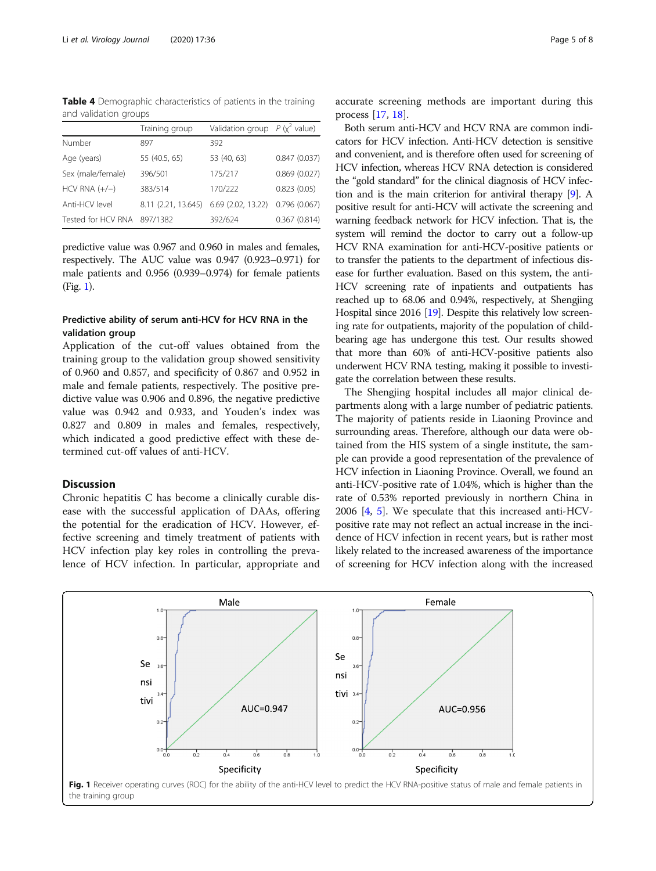<span id="page-4-0"></span>Table 4 Demographic characteristics of patients in the training and validation groups

|                    | Training group      | Validation group $P(x^2)$ value) |              |
|--------------------|---------------------|----------------------------------|--------------|
| Number             | 897                 | 392                              |              |
| Age (years)        | 55 (40.5, 65)       | 53 (40, 63)                      | 0.847(0.037) |
| Sex (male/female)  | 396/501             | 175/217                          | 0.869(0.027) |
| $HCV$ RNA $(+/-)$  | 383/514             | 170/222                          | 0.823(0.05)  |
| Anti-HCV level     | 8.11 (2.21, 13.645) | 6.69 (2.02, 13.22)               | 0.796(0.067) |
| Tested for HCV RNA | 897/1382            | 392/624                          | 0.367(0.814) |

predictive value was 0.967 and 0.960 in males and females, respectively. The AUC value was 0.947 (0.923–0.971) for male patients and 0.956 (0.939–0.974) for female patients (Fig. 1).

#### Predictive ability of serum anti-HCV for HCV RNA in the validation group

Application of the cut-off values obtained from the training group to the validation group showed sensitivity of 0.960 and 0.857, and specificity of 0.867 and 0.952 in male and female patients, respectively. The positive predictive value was 0.906 and 0.896, the negative predictive value was 0.942 and 0.933, and Youden's index was 0.827 and 0.809 in males and females, respectively, which indicated a good predictive effect with these determined cut-off values of anti-HCV.

#### **Discussion**

Chronic hepatitis C has become a clinically curable disease with the successful application of DAAs, offering the potential for the eradication of HCV. However, effective screening and timely treatment of patients with HCV infection play key roles in controlling the prevalence of HCV infection. In particular, appropriate and

accurate screening methods are important during this process [\[17](#page-6-0), [18\]](#page-6-0).

Both serum anti-HCV and HCV RNA are common indicators for HCV infection. Anti-HCV detection is sensitive and convenient, and is therefore often used for screening of HCV infection, whereas HCV RNA detection is considered the "gold standard" for the clinical diagnosis of HCV infection and is the main criterion for antiviral therapy [\[9\]](#page-6-0). A positive result for anti-HCV will activate the screening and warning feedback network for HCV infection. That is, the system will remind the doctor to carry out a follow-up HCV RNA examination for anti-HCV-positive patients or to transfer the patients to the department of infectious disease for further evaluation. Based on this system, the anti-HCV screening rate of inpatients and outpatients has reached up to 68.06 and 0.94%, respectively, at Shengjing Hospital since 2016 [\[19\]](#page-6-0). Despite this relatively low screening rate for outpatients, majority of the population of childbearing age has undergone this test. Our results showed that more than 60% of anti-HCV-positive patients also underwent HCV RNA testing, making it possible to investigate the correlation between these results.

The Shengjing hospital includes all major clinical departments along with a large number of pediatric patients. The majority of patients reside in Liaoning Province and surrounding areas. Therefore, although our data were obtained from the HIS system of a single institute, the sample can provide a good representation of the prevalence of HCV infection in Liaoning Province. Overall, we found an anti-HCV-positive rate of 1.04%, which is higher than the rate of 0.53% reported previously in northern China in 2006 [\[4](#page-6-0), [5](#page-6-0)]. We speculate that this increased anti-HCVpositive rate may not reflect an actual increase in the incidence of HCV infection in recent years, but is rather most likely related to the increased awareness of the importance of screening for HCV infection along with the increased

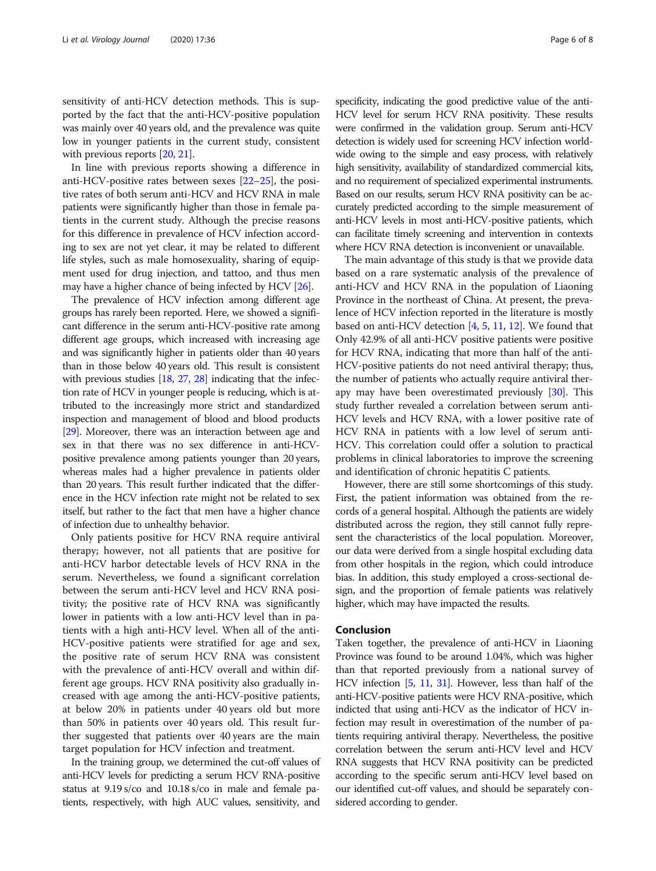sensitivity of anti-HCV detection methods. This is supported by the fact that the anti-HCV-positive population was mainly over 40 years old, and the prevalence was quite low in younger patients in the current study, consistent with previous reports [[20](#page-6-0), [21](#page-6-0)].

In line with previous reports showing a difference in anti-HCV-positive rates between sexes [[22](#page-6-0)–[25\]](#page-6-0), the positive rates of both serum anti-HCV and HCV RNA in male patients were significantly higher than those in female patients in the current study. Although the precise reasons for this difference in prevalence of HCV infection according to sex are not yet clear, it may be related to different life styles, such as male homosexuality, sharing of equipment used for drug injection, and tattoo, and thus men may have a higher chance of being infected by HCV [\[26\]](#page-6-0).

The prevalence of HCV infection among different age groups has rarely been reported. Here, we showed a significant difference in the serum anti-HCV-positive rate among different age groups, which increased with increasing age and was significantly higher in patients older than 40 years than in those below 40 years old. This result is consistent with previous studies [[18](#page-6-0), [27,](#page-6-0) [28\]](#page-7-0) indicating that the infection rate of HCV in younger people is reducing, which is attributed to the increasingly more strict and standardized inspection and management of blood and blood products [[29](#page-7-0)]. Moreover, there was an interaction between age and sex in that there was no sex difference in anti-HCVpositive prevalence among patients younger than 20 years, whereas males had a higher prevalence in patients older than 20 years. This result further indicated that the difference in the HCV infection rate might not be related to sex itself, but rather to the fact that men have a higher chance of infection due to unhealthy behavior.

Only patients positive for HCV RNA require antiviral therapy; however, not all patients that are positive for anti-HCV harbor detectable levels of HCV RNA in the serum. Nevertheless, we found a significant correlation between the serum anti-HCV level and HCV RNA positivity; the positive rate of HCV RNA was significantly lower in patients with a low anti-HCV level than in patients with a high anti-HCV level. When all of the anti-HCV-positive patients were stratified for age and sex, the positive rate of serum HCV RNA was consistent with the prevalence of anti-HCV overall and within different age groups. HCV RNA positivity also gradually increased with age among the anti-HCV-positive patients, at below 20% in patients under 40 years old but more than 50% in patients over 40 years old. This result further suggested that patients over 40 years are the main target population for HCV infection and treatment.

In the training group, we determined the cut-off values of anti-HCV levels for predicting a serum HCV RNA-positive status at 9.19 s/co and 10.18 s/co in male and female patients, respectively, with high AUC values, sensitivity, and specificity, indicating the good predictive value of the anti-HCV level for serum HCV RNA positivity. These results were confirmed in the validation group. Serum anti-HCV detection is widely used for screening HCV infection worldwide owing to the simple and easy process, with relatively high sensitivity, availability of standardized commercial kits, and no requirement of specialized experimental instruments. Based on our results, serum HCV RNA positivity can be accurately predicted according to the simple measurement of anti-HCV levels in most anti-HCV-positive patients, which can facilitate timely screening and intervention in contexts where HCV RNA detection is inconvenient or unavailable.

The main advantage of this study is that we provide data based on a rare systematic analysis of the prevalence of anti-HCV and HCV RNA in the population of Liaoning Province in the northeast of China. At present, the prevalence of HCV infection reported in the literature is mostly based on anti-HCV detection [\[4](#page-6-0), [5,](#page-6-0) [11](#page-6-0), [12\]](#page-6-0). We found that Only 42.9% of all anti-HCV positive patients were positive for HCV RNA, indicating that more than half of the anti-HCV-positive patients do not need antiviral therapy; thus, the number of patients who actually require antiviral therapy may have been overestimated previously [\[30\]](#page-7-0). This study further revealed a correlation between serum anti-HCV levels and HCV RNA, with a lower positive rate of HCV RNA in patients with a low level of serum anti-HCV. This correlation could offer a solution to practical problems in clinical laboratories to improve the screening and identification of chronic hepatitis C patients.

However, there are still some shortcomings of this study. First, the patient information was obtained from the records of a general hospital. Although the patients are widely distributed across the region, they still cannot fully represent the characteristics of the local population. Moreover, our data were derived from a single hospital excluding data from other hospitals in the region, which could introduce bias. In addition, this study employed a cross-sectional design, and the proportion of female patients was relatively higher, which may have impacted the results.

#### Conclusion

Taken together, the prevalence of anti-HCV in Liaoning Province was found to be around 1.04%, which was higher than that reported previously from a national survey of HCV infection [\[5](#page-6-0), [11,](#page-6-0) [31](#page-7-0)]. However, less than half of the anti-HCV-positive patients were HCV RNA-positive, which indicted that using anti-HCV as the indicator of HCV infection may result in overestimation of the number of patients requiring antiviral therapy. Nevertheless, the positive correlation between the serum anti-HCV level and HCV RNA suggests that HCV RNA positivity can be predicted according to the specific serum anti-HCV level based on our identified cut-off values, and should be separately considered according to gender.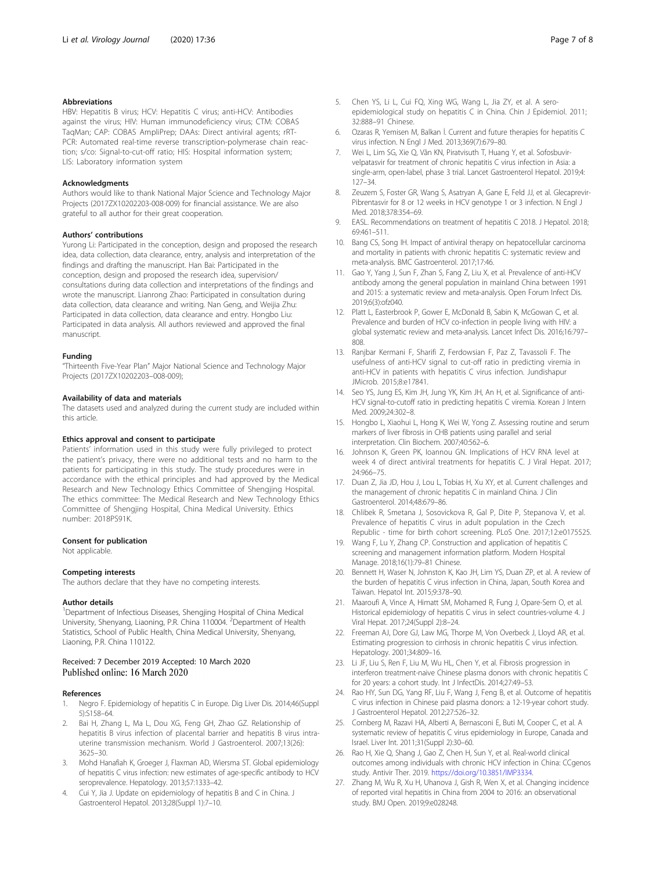#### <span id="page-6-0"></span>Abbreviations

HBV: Hepatitis B virus; HCV: Hepatitis C virus; anti-HCV: Antibodies against the virus; HIV: Human immunodeficiency virus; CTM: COBAS TaqMan; CAP: COBAS AmpliPrep; DAAs: Direct antiviral agents; rRT-PCR: Automated real-time reverse transcription-polymerase chain reaction; s/co: Signal-to-cut-off ratio; HIS: Hospital information system; LIS: Laboratory information system

#### **Acknowledgments**

Authors would like to thank National Major Science and Technology Major Projects (2017ZX10202203-008-009) for financial assistance. We are also grateful to all author for their great cooperation.

#### Authors' contributions

Yurong Li: Participated in the conception, design and proposed the research idea, data collection, data clearance, entry, analysis and interpretation of the findings and drafting the manuscript. Han Bai: Participated in the conception, design and proposed the research idea, supervision/ consultations during data collection and interpretations of the findings and wrote the manuscript. Lianrong Zhao: Participated in consultation during data collection, data clearance and writing. Nan Geng, and Weijia Zhu: Participated in data collection, data clearance and entry. Hongbo Liu: Participated in data analysis. All authors reviewed and approved the final manuscript.

#### Funding

"Thirteenth Five-Year Plan" Major National Science and Technology Major Projects (2017ZX10202203–008-009);

#### Availability of data and materials

The datasets used and analyzed during the current study are included within this article.

#### Ethics approval and consent to participate

Patients' information used in this study were fully privileged to protect the patient's privacy, there were no additional tests and no harm to the patients for participating in this study. The study procedures were in accordance with the ethical principles and had approved by the Medical Research and New Technology Ethics Committee of Shengjing Hospital. The ethics committee: The Medical Research and New Technology Ethics Committee of Shengjing Hospital, China Medical University. Ethics number: 2018PS91K.

#### Consent for publication

Not applicable.

#### Competing interests

The authors declare that they have no competing interests.

#### Author details

<sup>1</sup>Department of Infectious Diseases, Shengjing Hospital of China Medical University, Shenyang, Liaoning, P.R. China 110004. <sup>2</sup>Department of Health Statistics, School of Public Health, China Medical University, Shenyang, Liaoning, P.R. China 110122.

## Received: 7 December 2019 Accepted: 10 March 2020

#### References

- 1. Negro F. Epidemiology of hepatitis C in Europe. Dig Liver Dis. 2014;46(Suppl 5):S158–64.
- 2. Bai H, Zhang L, Ma L, Dou XG, Feng GH, Zhao GZ. Relationship of hepatitis B virus infection of placental barrier and hepatitis B virus intrauterine transmission mechanism. World J Gastroenterol. 2007;13(26): 3625–30.
- 3. Mohd Hanafiah K, Groeger J, Flaxman AD, Wiersma ST. Global epidemiology of hepatitis C virus infection: new estimates of age-specific antibody to HCV seroprevalence. Hepatology. 2013;57:1333–42.
- 4. Cui Y, Jia J. Update on epidemiology of hepatitis B and C in China. J Gastroenterol Hepatol. 2013;28(Suppl 1):7–10.
- 5. Chen YS, Li L, Cui FQ, Xing WG, Wang L, Jia ZY, et al. A seroepidemiological study on hepatitis C in China. Chin J Epidemiol. 2011; 32:888–91 Chinese.
- 6. Ozaras R, Yemisen M, Balkan İ. Current and future therapies for hepatitis C virus infection. N Engl J Med. 2013;369(7):679–80.
- 7. Wei L, Lim SG, Xie Q, Văn KN, Piratvisuth T, Huang Y, et al. Sofosbuvirvelpatasvir for treatment of chronic hepatitis C virus infection in Asia: a single-arm, open-label, phase 3 trial. Lancet Gastroenterol Hepatol. 2019;4: 127–34.
- 8. Zeuzem S, Foster GR, Wang S, Asatryan A, Gane E, Feld JJ, et al. Glecaprevir-Pibrentasvir for 8 or 12 weeks in HCV genotype 1 or 3 infection. N Engl J Med. 2018;378:354–69.
- 9. EASL. Recommendations on treatment of hepatitis C 2018. J Hepatol. 2018; 69:461–511.
- 10. Bang CS, Song IH. Impact of antiviral therapy on hepatocellular carcinoma and mortality in patients with chronic hepatitis C: systematic review and meta-analysis. BMC Gastroenterol. 2017;17:46.
- 11. Gao Y, Yang J, Sun F, Zhan S, Fang Z, Liu X, et al. Prevalence of anti-HCV antibody among the general population in mainland China between 1991 and 2015: a systematic review and meta-analysis. Open Forum Infect Dis. 2019;6(3):ofz040.
- 12. Platt L, Easterbrook P, Gower E, McDonald B, Sabin K, McGowan C, et al. Prevalence and burden of HCV co-infection in people living with HIV: a global systematic review and meta-analysis. Lancet Infect Dis. 2016;16:797– 808.
- 13. Ranjbar Kermani F, Sharifi Z, Ferdowsian F, Paz Z, Tavassoli F. The usefulness of anti-HCV signal to cut-off ratio in predicting viremia in anti-HCV in patients with hepatitis C virus infection. Jundishapur JMicrob. 2015;8:e17841.
- 14. Seo YS, Jung ES, Kim JH, Jung YK, Kim JH, An H, et al. Significance of anti-HCV signal-to-cutoff ratio in predicting hepatitis C viremia. Korean J Intern Med. 2009;24:302–8.
- 15. Hongbo L, Xiaohui L, Hong K, Wei W, Yong Z. Assessing routine and serum markers of liver fibrosis in CHB patients using parallel and serial interpretation. Clin Biochem. 2007;40:562-6.
- 16. Johnson K, Green PK, Ioannou GN. Implications of HCV RNA level at week 4 of direct antiviral treatments for hepatitis C. J Viral Hepat. 2017; 24:966–75.
- 17. Duan Z, Jia JD, Hou J, Lou L, Tobias H, Xu XY, et al. Current challenges and the management of chronic hepatitis C in mainland China. J Clin Gastroenterol. 2014;48:679–86.
- 18. Chlibek R, Smetana J, Sosovickova R, Gal P, Dite P, Stepanova V, et al. Prevalence of hepatitis C virus in adult population in the Czech Republic - time for birth cohort screening. PLoS One. 2017;12:e0175525.
- 19. Wang F, Lu Y, Zhang CP. Construction and application of hepatitis C screening and management information platform. Modern Hospital Manage. 2018;16(1):79–81 Chinese.
- 20. Bennett H, Waser N, Johnston K, Kao JH, Lim YS, Duan ZP, et al. A review of the burden of hepatitis C virus infection in China, Japan, South Korea and Taiwan. Hepatol Int. 2015;9:378–90.
- 21. Maaroufi A, Vince A, Himatt SM, Mohamed R, Fung J, Opare-Sem O, et al. Historical epidemiology of hepatitis C virus in select countries-volume 4. J Viral Hepat. 2017;24(Suppl 2):8–24.
- 22. Freeman AJ, Dore GJ, Law MG, Thorpe M, Von Overbeck J, Lloyd AR, et al. Estimating progression to cirrhosis in chronic hepatitis C virus infection. Hepatology. 2001;34:809–16.
- 23. Li JF, Liu S, Ren F, Liu M, Wu HL, Chen Y, et al. Fibrosis progression in interferon treatment-naive Chinese plasma donors with chronic hepatitis C for 20 years: a cohort study. Int J InfectDis. 2014;27:49–53.
- 24. Rao HY, Sun DG, Yang RF, Liu F, Wang J, Feng B, et al. Outcome of hepatitis C virus infection in Chinese paid plasma donors: a 12-19-year cohort study. J Gastroenterol Hepatol. 2012;27:526–32.
- 25. Cornberg M, Razavi HA, Alberti A, Bernasconi E, Buti M, Cooper C, et al. A systematic review of hepatitis C virus epidemiology in Europe, Canada and Israel. Liver Int. 2011;31(Suppl 2):30–60.
- 26. Rao H, Xie Q, Shang J, Gao Z, Chen H, Sun Y, et al. Real-world clinical outcomes among individuals with chronic HCV infection in China: CCgenos study. Antivir Ther. 2019. <https://doi.org/10.3851/IMP3334>.
- 27. Zhang M, Wu R, Xu H, Uhanova J, Gish R, Wen X, et al. Changing incidence of reported viral hepatitis in China from 2004 to 2016: an observational study. BMJ Open. 2019;9:e028248.